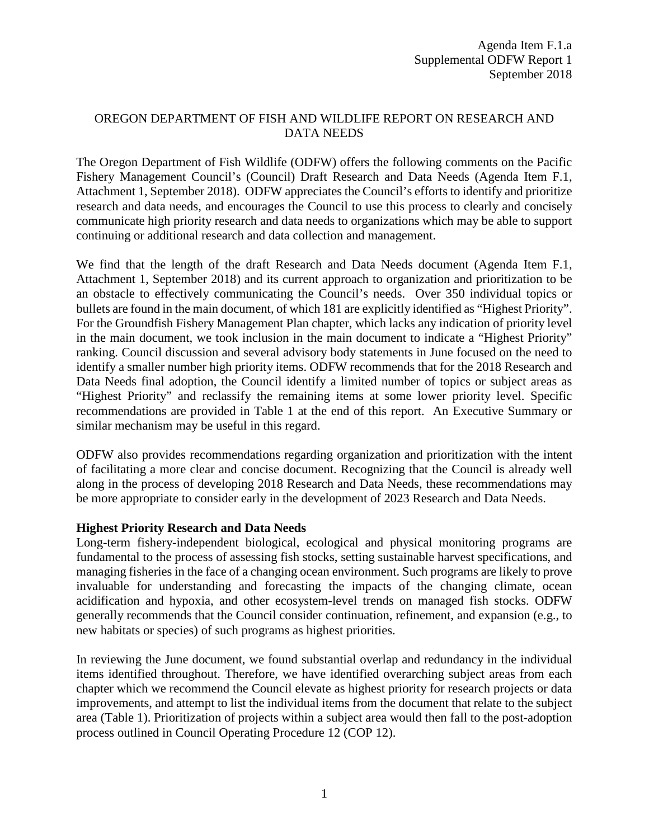## OREGON DEPARTMENT OF FISH AND WILDLIFE REPORT ON RESEARCH AND DATA NEEDS

The Oregon Department of Fish Wildlife (ODFW) offers the following comments on the Pacific Fishery Management Council's (Council) Draft Research and Data Needs (Agenda Item F.1, Attachment 1, September 2018). ODFW appreciates the Council's efforts to identify and prioritize research and data needs, and encourages the Council to use this process to clearly and concisely communicate high priority research and data needs to organizations which may be able to support continuing or additional research and data collection and management.

We find that the length of the draft Research and Data Needs document (Agenda Item F.1, Attachment 1, September 2018) and its current approach to organization and prioritization to be an obstacle to effectively communicating the Council's needs. Over 350 individual topics or bullets are found in the main document, of which 181 are explicitly identified as "Highest Priority". For the Groundfish Fishery Management Plan chapter, which lacks any indication of priority level in the main document, we took inclusion in the main document to indicate a "Highest Priority" ranking. Council discussion and several advisory body statements in June focused on the need to identify a smaller number high priority items. ODFW recommends that for the 2018 Research and Data Needs final adoption, the Council identify a limited number of topics or subject areas as "Highest Priority" and reclassify the remaining items at some lower priority level. Specific recommendations are provided in Table 1 at the end of this report. An Executive Summary or similar mechanism may be useful in this regard.

ODFW also provides recommendations regarding organization and prioritization with the intent of facilitating a more clear and concise document. Recognizing that the Council is already well along in the process of developing 2018 Research and Data Needs, these recommendations may be more appropriate to consider early in the development of 2023 Research and Data Needs.

## **Highest Priority Research and Data Needs**

Long-term fishery-independent biological, ecological and physical monitoring programs are fundamental to the process of assessing fish stocks, setting sustainable harvest specifications, and managing fisheries in the face of a changing ocean environment. Such programs are likely to prove invaluable for understanding and forecasting the impacts of the changing climate, ocean acidification and hypoxia, and other ecosystem-level trends on managed fish stocks. ODFW generally recommends that the Council consider continuation, refinement, and expansion (e.g., to new habitats or species) of such programs as highest priorities.

In reviewing the June document, we found substantial overlap and redundancy in the individual items identified throughout. Therefore, we have identified overarching subject areas from each chapter which we recommend the Council elevate as highest priority for research projects or data improvements, and attempt to list the individual items from the document that relate to the subject area (Table 1). Prioritization of projects within a subject area would then fall to the post-adoption process outlined in Council Operating Procedure 12 (COP 12).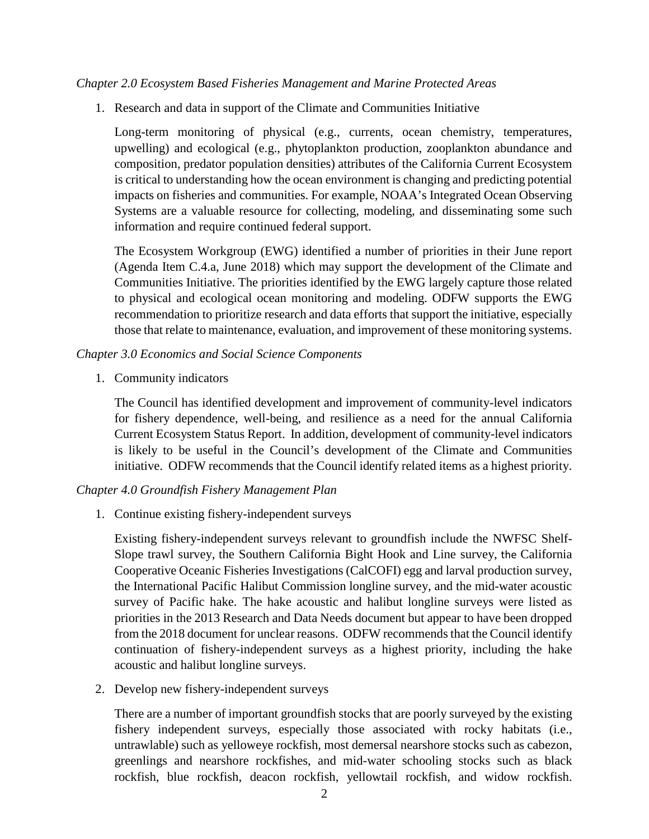#### *Chapter 2.0 Ecosystem Based Fisheries Management and Marine Protected Areas*

1. Research and data in support of the Climate and Communities Initiative

Long-term monitoring of physical (e.g., currents, ocean chemistry, temperatures, upwelling) and ecological (e.g., phytoplankton production, zooplankton abundance and composition, predator population densities) attributes of the California Current Ecosystem is critical to understanding how the ocean environment is changing and predicting potential impacts on fisheries and communities. For example, NOAA's Integrated Ocean Observing Systems are a valuable resource for collecting, modeling, and disseminating some such information and require continued federal support.

The Ecosystem Workgroup (EWG) identified a number of priorities in their June report (Agenda Item C.4.a, June 2018) which may support the development of the Climate and Communities Initiative. The priorities identified by the EWG largely capture those related to physical and ecological ocean monitoring and modeling. ODFW supports the EWG recommendation to prioritize research and data efforts that support the initiative, especially those that relate to maintenance, evaluation, and improvement of these monitoring systems.

#### *Chapter 3.0 Economics and Social Science Components*

1. Community indicators

The Council has identified development and improvement of community-level indicators for fishery dependence, well-being, and resilience as a need for the annual California Current Ecosystem Status Report. In addition, development of community-level indicators is likely to be useful in the Council's development of the Climate and Communities initiative. ODFW recommends that the Council identify related items as a highest priority.

#### *Chapter 4.0 Groundfish Fishery Management Plan*

1. Continue existing fishery-independent surveys

Existing fishery-independent surveys relevant to groundfish include the NWFSC Shelf-Slope trawl survey, the Southern California Bight Hook and Line survey, the California Cooperative Oceanic Fisheries Investigations (CalCOFI) egg and larval production survey, the International Pacific Halibut Commission longline survey, and the mid-water acoustic survey of Pacific hake. The hake acoustic and halibut longline surveys were listed as priorities in the 2013 Research and Data Needs document but appear to have been dropped from the 2018 document for unclear reasons. ODFW recommends that the Council identify continuation of fishery-independent surveys as a highest priority, including the hake acoustic and halibut longline surveys.

2. Develop new fishery-independent surveys

There are a number of important groundfish stocks that are poorly surveyed by the existing fishery independent surveys, especially those associated with rocky habitats (i.e., untrawlable) such as yelloweye rockfish, most demersal nearshore stocks such as cabezon, greenlings and nearshore rockfishes, and mid-water schooling stocks such as black rockfish, blue rockfish, deacon rockfish, yellowtail rockfish, and widow rockfish.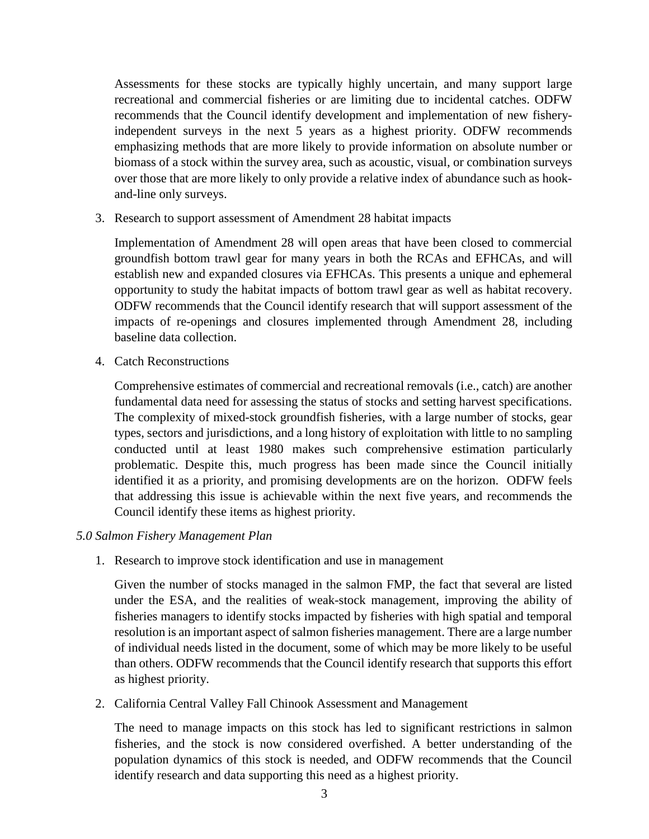Assessments for these stocks are typically highly uncertain, and many support large recreational and commercial fisheries or are limiting due to incidental catches. ODFW recommends that the Council identify development and implementation of new fisheryindependent surveys in the next 5 years as a highest priority. ODFW recommends emphasizing methods that are more likely to provide information on absolute number or biomass of a stock within the survey area, such as acoustic, visual, or combination surveys over those that are more likely to only provide a relative index of abundance such as hookand-line only surveys.

3. Research to support assessment of Amendment 28 habitat impacts

Implementation of Amendment 28 will open areas that have been closed to commercial groundfish bottom trawl gear for many years in both the RCAs and EFHCAs, and will establish new and expanded closures via EFHCAs. This presents a unique and ephemeral opportunity to study the habitat impacts of bottom trawl gear as well as habitat recovery. ODFW recommends that the Council identify research that will support assessment of the impacts of re-openings and closures implemented through Amendment 28, including baseline data collection.

4. Catch Reconstructions

Comprehensive estimates of commercial and recreational removals (i.e., catch) are another fundamental data need for assessing the status of stocks and setting harvest specifications. The complexity of mixed-stock groundfish fisheries, with a large number of stocks, gear types, sectors and jurisdictions, and a long history of exploitation with little to no sampling conducted until at least 1980 makes such comprehensive estimation particularly problematic. Despite this, much progress has been made since the Council initially identified it as a priority, and promising developments are on the horizon. ODFW feels that addressing this issue is achievable within the next five years, and recommends the Council identify these items as highest priority.

## *5.0 Salmon Fishery Management Plan*

1. Research to improve stock identification and use in management

Given the number of stocks managed in the salmon FMP, the fact that several are listed under the ESA, and the realities of weak-stock management, improving the ability of fisheries managers to identify stocks impacted by fisheries with high spatial and temporal resolution is an important aspect of salmon fisheries management. There are a large number of individual needs listed in the document, some of which may be more likely to be useful than others. ODFW recommends that the Council identify research that supports this effort as highest priority.

2. California Central Valley Fall Chinook Assessment and Management

The need to manage impacts on this stock has led to significant restrictions in salmon fisheries, and the stock is now considered overfished. A better understanding of the population dynamics of this stock is needed, and ODFW recommends that the Council identify research and data supporting this need as a highest priority.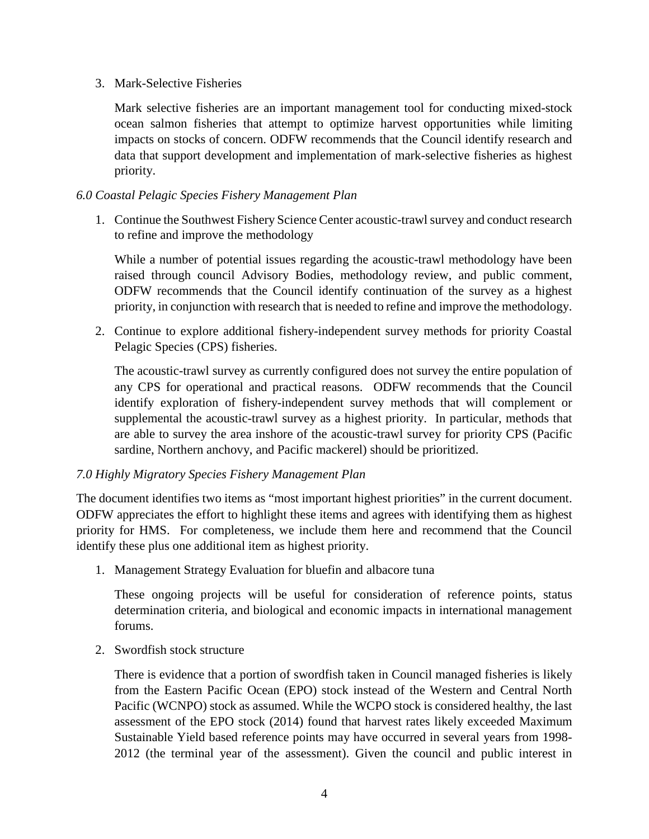#### 3. Mark-Selective Fisheries

Mark selective fisheries are an important management tool for conducting mixed-stock ocean salmon fisheries that attempt to optimize harvest opportunities while limiting impacts on stocks of concern. ODFW recommends that the Council identify research and data that support development and implementation of mark-selective fisheries as highest priority.

## *6.0 Coastal Pelagic Species Fishery Management Plan*

1. Continue the Southwest Fishery Science Center acoustic-trawl survey and conduct research to refine and improve the methodology

While a number of potential issues regarding the acoustic-trawl methodology have been raised through council Advisory Bodies, methodology review, and public comment, ODFW recommends that the Council identify continuation of the survey as a highest priority, in conjunction with research that is needed to refine and improve the methodology.

2. Continue to explore additional fishery-independent survey methods for priority Coastal Pelagic Species (CPS) fisheries.

The acoustic-trawl survey as currently configured does not survey the entire population of any CPS for operational and practical reasons. ODFW recommends that the Council identify exploration of fishery-independent survey methods that will complement or supplemental the acoustic-trawl survey as a highest priority. In particular, methods that are able to survey the area inshore of the acoustic-trawl survey for priority CPS (Pacific sardine, Northern anchovy, and Pacific mackerel) should be prioritized.

## *7.0 Highly Migratory Species Fishery Management Plan*

The document identifies two items as "most important highest priorities" in the current document. ODFW appreciates the effort to highlight these items and agrees with identifying them as highest priority for HMS. For completeness, we include them here and recommend that the Council identify these plus one additional item as highest priority.

1. Management Strategy Evaluation for bluefin and albacore tuna

These ongoing projects will be useful for consideration of reference points, status determination criteria, and biological and economic impacts in international management forums.

2. Swordfish stock structure

There is evidence that a portion of swordfish taken in Council managed fisheries is likely from the Eastern Pacific Ocean (EPO) stock instead of the Western and Central North Pacific (WCNPO) stock as assumed. While the WCPO stock is considered healthy, the last assessment of the EPO stock (2014) found that harvest rates likely exceeded Maximum Sustainable Yield based reference points may have occurred in several years from 1998- 2012 (the terminal year of the assessment). Given the council and public interest in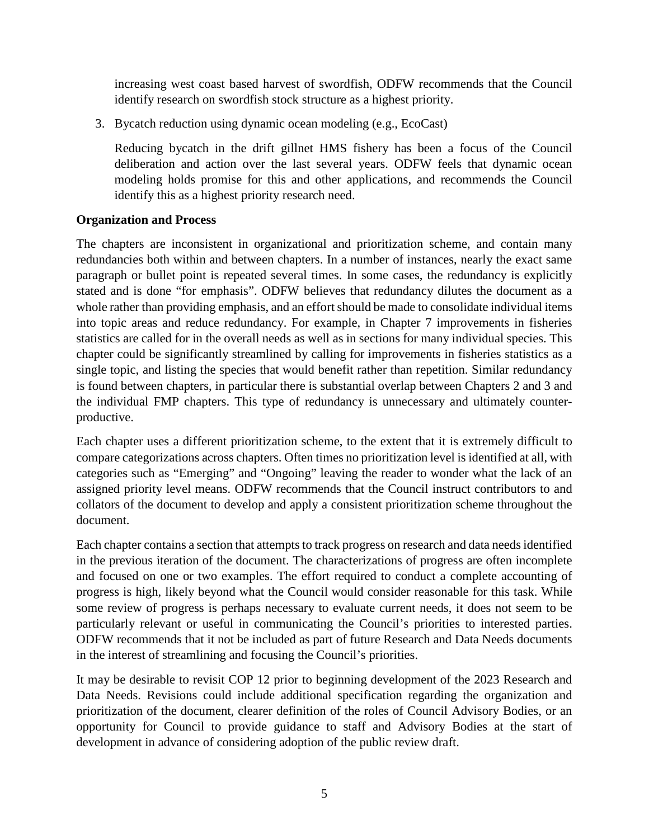increasing west coast based harvest of swordfish, ODFW recommends that the Council identify research on swordfish stock structure as a highest priority.

3. Bycatch reduction using dynamic ocean modeling (e.g., EcoCast)

Reducing bycatch in the drift gillnet HMS fishery has been a focus of the Council deliberation and action over the last several years. ODFW feels that dynamic ocean modeling holds promise for this and other applications, and recommends the Council identify this as a highest priority research need.

# **Organization and Process**

The chapters are inconsistent in organizational and prioritization scheme, and contain many redundancies both within and between chapters. In a number of instances, nearly the exact same paragraph or bullet point is repeated several times. In some cases, the redundancy is explicitly stated and is done "for emphasis". ODFW believes that redundancy dilutes the document as a whole rather than providing emphasis, and an effort should be made to consolidate individual items into topic areas and reduce redundancy. For example, in Chapter 7 improvements in fisheries statistics are called for in the overall needs as well as in sections for many individual species. This chapter could be significantly streamlined by calling for improvements in fisheries statistics as a single topic, and listing the species that would benefit rather than repetition. Similar redundancy is found between chapters, in particular there is substantial overlap between Chapters 2 and 3 and the individual FMP chapters. This type of redundancy is unnecessary and ultimately counterproductive.

Each chapter uses a different prioritization scheme, to the extent that it is extremely difficult to compare categorizations across chapters. Often times no prioritization level is identified at all, with categories such as "Emerging" and "Ongoing" leaving the reader to wonder what the lack of an assigned priority level means. ODFW recommends that the Council instruct contributors to and collators of the document to develop and apply a consistent prioritization scheme throughout the document.

Each chapter contains a section that attempts to track progress on research and data needs identified in the previous iteration of the document. The characterizations of progress are often incomplete and focused on one or two examples. The effort required to conduct a complete accounting of progress is high, likely beyond what the Council would consider reasonable for this task. While some review of progress is perhaps necessary to evaluate current needs, it does not seem to be particularly relevant or useful in communicating the Council's priorities to interested parties. ODFW recommends that it not be included as part of future Research and Data Needs documents in the interest of streamlining and focusing the Council's priorities.

It may be desirable to revisit COP 12 prior to beginning development of the 2023 Research and Data Needs. Revisions could include additional specification regarding the organization and prioritization of the document, clearer definition of the roles of Council Advisory Bodies, or an opportunity for Council to provide guidance to staff and Advisory Bodies at the start of development in advance of considering adoption of the public review draft.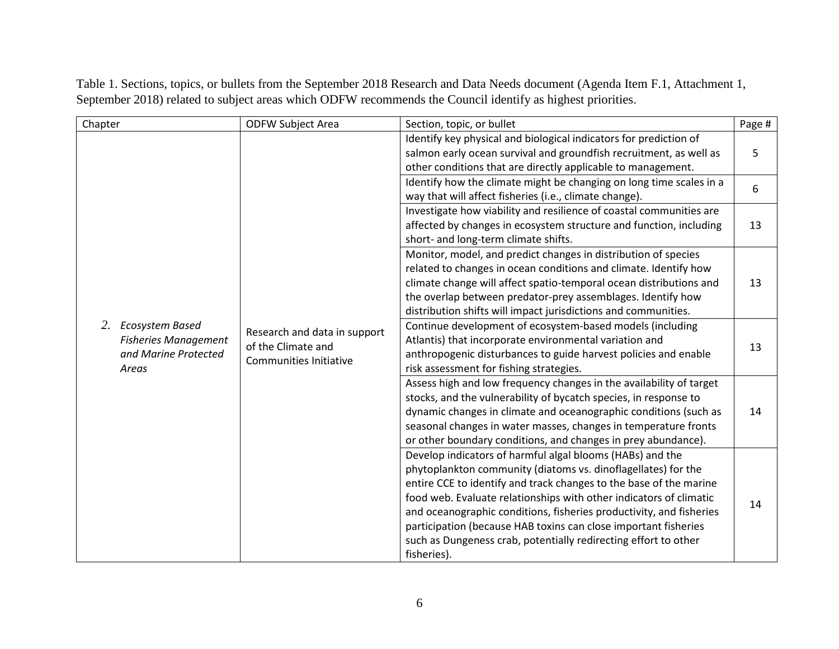| Chapter                                                                               | <b>ODFW Subject Area</b>                                                                                                                                                                                                                                                                                                                                                                                                                 | Section, topic, or bullet                                                                                                                                                                                                                                                                                                                                                                                              | Page # |
|---------------------------------------------------------------------------------------|------------------------------------------------------------------------------------------------------------------------------------------------------------------------------------------------------------------------------------------------------------------------------------------------------------------------------------------------------------------------------------------------------------------------------------------|------------------------------------------------------------------------------------------------------------------------------------------------------------------------------------------------------------------------------------------------------------------------------------------------------------------------------------------------------------------------------------------------------------------------|--------|
|                                                                                       | way that will affect fisheries (i.e., climate change).<br>short- and long-term climate shifts.<br>distribution shifts will impact jurisdictions and communities.<br>Research and data in support<br>Atlantis) that incorporate environmental variation and<br>of the Climate and<br><b>Communities Initiative</b><br>risk assessment for fishing strategies.<br>Develop indicators of harmful algal blooms (HABs) and the<br>fisheries). | Identify key physical and biological indicators for prediction of<br>salmon early ocean survival and groundfish recruitment, as well as<br>other conditions that are directly applicable to management.                                                                                                                                                                                                                | 5      |
|                                                                                       |                                                                                                                                                                                                                                                                                                                                                                                                                                          | Identify how the climate might be changing on long time scales in a                                                                                                                                                                                                                                                                                                                                                    | 6      |
|                                                                                       |                                                                                                                                                                                                                                                                                                                                                                                                                                          | Investigate how viability and resilience of coastal communities are<br>affected by changes in ecosystem structure and function, including                                                                                                                                                                                                                                                                              | 13     |
|                                                                                       |                                                                                                                                                                                                                                                                                                                                                                                                                                          | Monitor, model, and predict changes in distribution of species<br>related to changes in ocean conditions and climate. Identify how<br>climate change will affect spatio-temporal ocean distributions and<br>the overlap between predator-prey assemblages. Identify how                                                                                                                                                | 13     |
| 2.<br>Ecosystem Based<br><b>Fisheries Management</b><br>and Marine Protected<br>Areas |                                                                                                                                                                                                                                                                                                                                                                                                                                          | Continue development of ecosystem-based models (including<br>anthropogenic disturbances to guide harvest policies and enable                                                                                                                                                                                                                                                                                           | 13     |
|                                                                                       |                                                                                                                                                                                                                                                                                                                                                                                                                                          | Assess high and low frequency changes in the availability of target<br>stocks, and the vulnerability of bycatch species, in response to<br>dynamic changes in climate and oceanographic conditions (such as<br>seasonal changes in water masses, changes in temperature fronts<br>or other boundary conditions, and changes in prey abundance).                                                                        | 14     |
|                                                                                       |                                                                                                                                                                                                                                                                                                                                                                                                                                          | phytoplankton community (diatoms vs. dinoflagellates) for the<br>entire CCE to identify and track changes to the base of the marine<br>food web. Evaluate relationships with other indicators of climatic<br>and oceanographic conditions, fisheries productivity, and fisheries<br>participation (because HAB toxins can close important fisheries<br>such as Dungeness crab, potentially redirecting effort to other | 14     |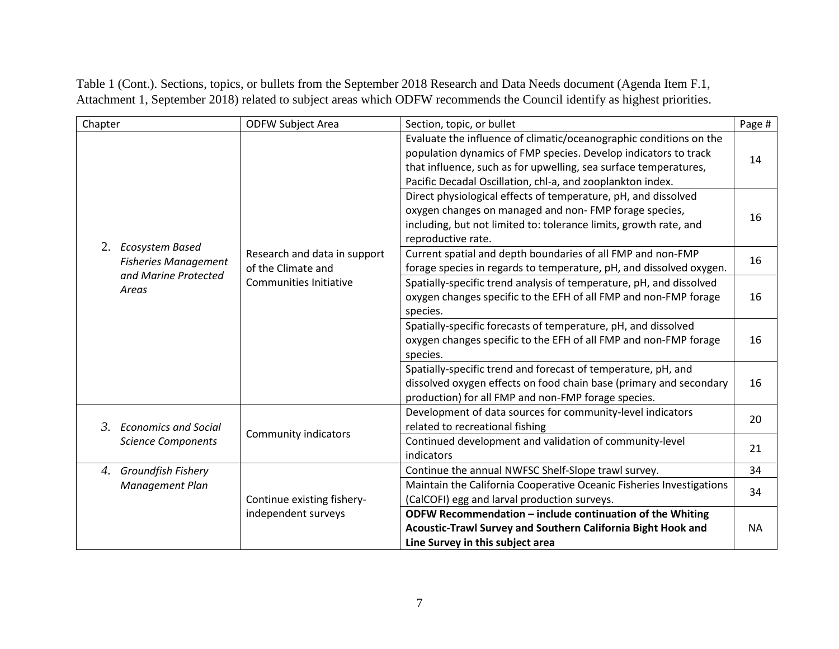| Chapter                                        | <b>ODFW Subject Area</b>                                                            | Section, topic, or bullet                                                                                                                                                                  | Page #    |
|------------------------------------------------|-------------------------------------------------------------------------------------|--------------------------------------------------------------------------------------------------------------------------------------------------------------------------------------------|-----------|
|                                                |                                                                                     | Evaluate the influence of climatic/oceanographic conditions on the<br>population dynamics of FMP species. Develop indicators to track                                                      | 14        |
|                                                |                                                                                     | that influence, such as for upwelling, sea surface temperatures,<br>Pacific Decadal Oscillation, chl-a, and zooplankton index.                                                             |           |
|                                                |                                                                                     | Direct physiological effects of temperature, pH, and dissolved<br>oxygen changes on managed and non- FMP forage species,                                                                   | 16        |
| 2.                                             |                                                                                     | including, but not limited to: tolerance limits, growth rate, and<br>reproductive rate.                                                                                                    |           |
| Ecosystem Based<br><b>Fisheries Management</b> | Research and data in support<br>of the Climate and<br><b>Communities Initiative</b> | Current spatial and depth boundaries of all FMP and non-FMP<br>forage species in regards to temperature, pH, and dissolved oxygen.                                                         | 16        |
| and Marine Protected<br>Areas                  |                                                                                     | Spatially-specific trend analysis of temperature, pH, and dissolved<br>oxygen changes specific to the EFH of all FMP and non-FMP forage<br>species.                                        | 16        |
|                                                |                                                                                     | Spatially-specific forecasts of temperature, pH, and dissolved<br>oxygen changes specific to the EFH of all FMP and non-FMP forage<br>species.                                             | 16        |
|                                                |                                                                                     | Spatially-specific trend and forecast of temperature, pH, and<br>dissolved oxygen effects on food chain base (primary and secondary<br>production) for all FMP and non-FMP forage species. | 16        |
| $\beta$ .<br><b>Economics and Social</b>       | <b>Community indicators</b>                                                         | Development of data sources for community-level indicators<br>related to recreational fishing                                                                                              | 20        |
| <b>Science Components</b>                      |                                                                                     | Continued development and validation of community-level<br>indicators                                                                                                                      | 21        |
| Groundfish Fishery<br>4.                       |                                                                                     | Continue the annual NWFSC Shelf-Slope trawl survey.                                                                                                                                        | 34        |
| Management Plan                                | Continue existing fishery-                                                          | Maintain the California Cooperative Oceanic Fisheries Investigations<br>(CalCOFI) egg and larval production surveys.                                                                       | 34        |
|                                                | independent surveys                                                                 | ODFW Recommendation - include continuation of the Whiting                                                                                                                                  |           |
|                                                |                                                                                     | Acoustic-Trawl Survey and Southern California Bight Hook and                                                                                                                               | <b>NA</b> |
|                                                |                                                                                     | Line Survey in this subject area                                                                                                                                                           |           |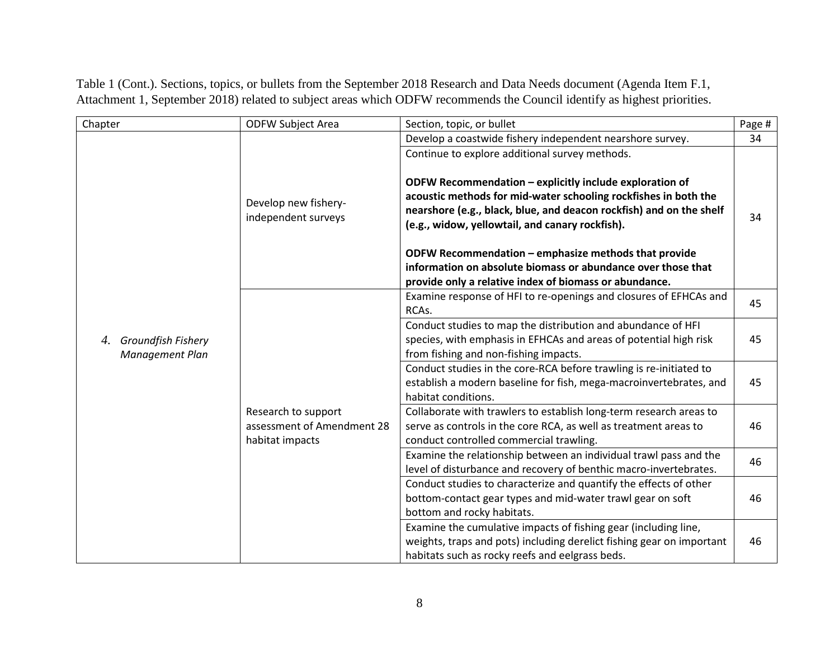| Chapter                                     | <b>ODFW Subject Area</b>                                             | Section, topic, or bullet                                                                                                                                                                                                                                                                              | Page # |
|---------------------------------------------|----------------------------------------------------------------------|--------------------------------------------------------------------------------------------------------------------------------------------------------------------------------------------------------------------------------------------------------------------------------------------------------|--------|
|                                             |                                                                      | Develop a coastwide fishery independent nearshore survey.                                                                                                                                                                                                                                              | 34     |
|                                             | Develop new fishery-<br>independent surveys                          | Continue to explore additional survey methods.<br>ODFW Recommendation - explicitly include exploration of<br>acoustic methods for mid-water schooling rockfishes in both the<br>nearshore (e.g., black, blue, and deacon rockfish) and on the shelf<br>(e.g., widow, yellowtail, and canary rockfish). | 34     |
|                                             |                                                                      | ODFW Recommendation - emphasize methods that provide<br>information on absolute biomass or abundance over those that                                                                                                                                                                                   |        |
|                                             |                                                                      | provide only a relative index of biomass or abundance.                                                                                                                                                                                                                                                 |        |
| Groundfish Fishery<br>4.<br>Management Plan |                                                                      | Examine response of HFI to re-openings and closures of EFHCAs and<br>RCAs.                                                                                                                                                                                                                             | 45     |
|                                             |                                                                      | Conduct studies to map the distribution and abundance of HFI<br>species, with emphasis in EFHCAs and areas of potential high risk<br>from fishing and non-fishing impacts.                                                                                                                             | 45     |
|                                             |                                                                      | Conduct studies in the core-RCA before trawling is re-initiated to<br>establish a modern baseline for fish, mega-macroinvertebrates, and<br>habitat conditions.                                                                                                                                        | 45     |
|                                             | Research to support<br>assessment of Amendment 28<br>habitat impacts | Collaborate with trawlers to establish long-term research areas to<br>serve as controls in the core RCA, as well as treatment areas to<br>conduct controlled commercial trawling.                                                                                                                      | 46     |
|                                             |                                                                      | Examine the relationship between an individual trawl pass and the<br>level of disturbance and recovery of benthic macro-invertebrates.                                                                                                                                                                 | 46     |
|                                             |                                                                      | Conduct studies to characterize and quantify the effects of other<br>bottom-contact gear types and mid-water trawl gear on soft<br>bottom and rocky habitats.                                                                                                                                          | 46     |
|                                             |                                                                      | Examine the cumulative impacts of fishing gear (including line,<br>weights, traps and pots) including derelict fishing gear on important<br>habitats such as rocky reefs and eelgrass beds.                                                                                                            | 46     |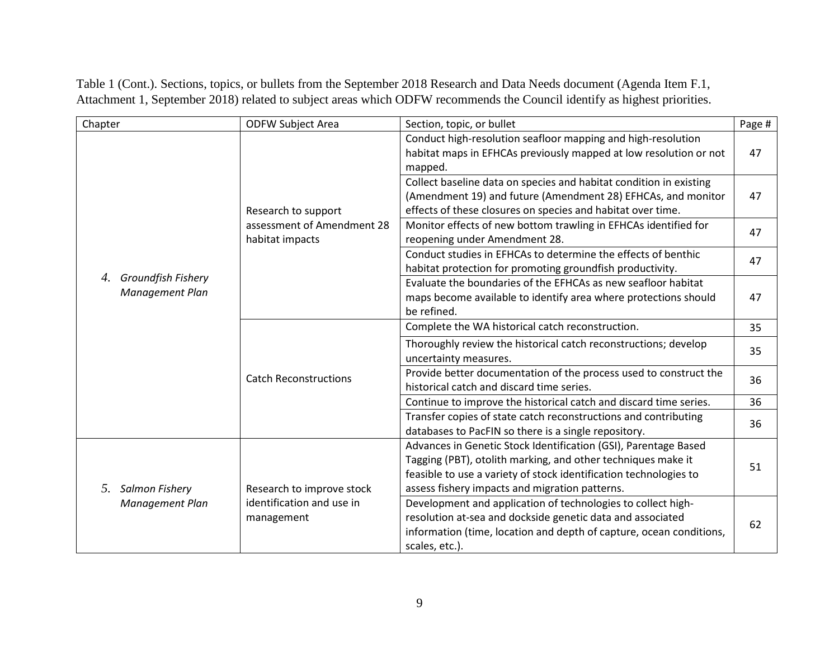| Chapter                                     | <b>ODFW Subject Area</b>                                             | Section, topic, or bullet                                                                                                                       | Page # |
|---------------------------------------------|----------------------------------------------------------------------|-------------------------------------------------------------------------------------------------------------------------------------------------|--------|
|                                             |                                                                      | Conduct high-resolution seafloor mapping and high-resolution                                                                                    |        |
|                                             |                                                                      | habitat maps in EFHCAs previously mapped at low resolution or not<br>mapped.                                                                    | 47     |
|                                             |                                                                      | Collect baseline data on species and habitat condition in existing                                                                              |        |
|                                             | Research to support<br>assessment of Amendment 28<br>habitat impacts | (Amendment 19) and future (Amendment 28) EFHCAs, and monitor<br>effects of these closures on species and habitat over time.                     | 47     |
|                                             |                                                                      | Monitor effects of new bottom trawling in EFHCAs identified for<br>reopening under Amendment 28.                                                | 47     |
|                                             |                                                                      | Conduct studies in EFHCAs to determine the effects of benthic<br>habitat protection for promoting groundfish productivity.                      | 47     |
| Groundfish Fishery<br>4.<br>Management Plan |                                                                      | Evaluate the boundaries of the EFHCAs as new seafloor habitat<br>maps become available to identify area where protections should<br>be refined. | 47     |
|                                             |                                                                      | Complete the WA historical catch reconstruction.                                                                                                | 35     |
|                                             | <b>Catch Reconstructions</b>                                         | Thoroughly review the historical catch reconstructions; develop                                                                                 | 35     |
|                                             |                                                                      | uncertainty measures.                                                                                                                           |        |
|                                             |                                                                      | Provide better documentation of the process used to construct the<br>historical catch and discard time series.                                  | 36     |
|                                             |                                                                      | Continue to improve the historical catch and discard time series.                                                                               | 36     |
|                                             |                                                                      | Transfer copies of state catch reconstructions and contributing<br>databases to PacFIN so there is a single repository.                         | 36     |
|                                             |                                                                      | Advances in Genetic Stock Identification (GSI), Parentage Based                                                                                 |        |
|                                             |                                                                      | Tagging (PBT), otolith marking, and other techniques make it                                                                                    | 51     |
|                                             |                                                                      | feasible to use a variety of stock identification technologies to                                                                               |        |
| Salmon Fishery<br>5.                        | Research to improve stock                                            | assess fishery impacts and migration patterns.                                                                                                  |        |
| Management Plan                             | identification and use in                                            | Development and application of technologies to collect high-                                                                                    |        |
|                                             | management                                                           | resolution at-sea and dockside genetic data and associated                                                                                      | 62     |
|                                             |                                                                      | information (time, location and depth of capture, ocean conditions,                                                                             |        |
|                                             |                                                                      | scales, etc.).                                                                                                                                  |        |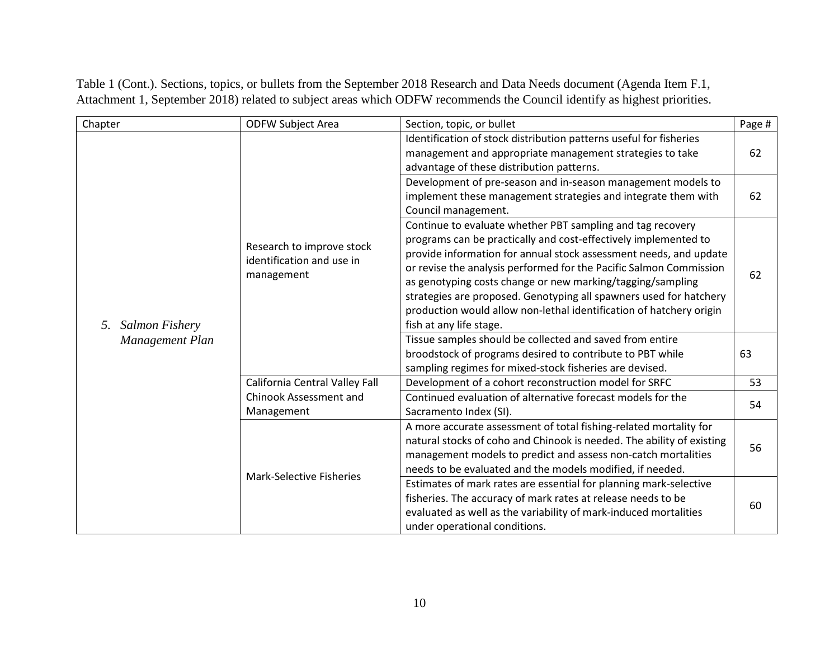| Chapter                     | <b>ODFW Subject Area</b>                                             | Section, topic, or bullet                                                                                                                                                                                                                                                                                                                                                                                                                                                                                      | Page # |
|-----------------------------|----------------------------------------------------------------------|----------------------------------------------------------------------------------------------------------------------------------------------------------------------------------------------------------------------------------------------------------------------------------------------------------------------------------------------------------------------------------------------------------------------------------------------------------------------------------------------------------------|--------|
| <b>Salmon Fishery</b><br>5. | Research to improve stock<br>identification and use in<br>management | Identification of stock distribution patterns useful for fisheries<br>management and appropriate management strategies to take<br>advantage of these distribution patterns.                                                                                                                                                                                                                                                                                                                                    | 62     |
|                             |                                                                      | Development of pre-season and in-season management models to<br>implement these management strategies and integrate them with<br>Council management.                                                                                                                                                                                                                                                                                                                                                           | 62     |
|                             |                                                                      | Continue to evaluate whether PBT sampling and tag recovery<br>programs can be practically and cost-effectively implemented to<br>provide information for annual stock assessment needs, and update<br>or revise the analysis performed for the Pacific Salmon Commission<br>as genotyping costs change or new marking/tagging/sampling<br>strategies are proposed. Genotyping all spawners used for hatchery<br>production would allow non-lethal identification of hatchery origin<br>fish at any life stage. | 62     |
| Management Plan             |                                                                      | Tissue samples should be collected and saved from entire<br>broodstock of programs desired to contribute to PBT while<br>sampling regimes for mixed-stock fisheries are devised.                                                                                                                                                                                                                                                                                                                               | 63     |
|                             | California Central Valley Fall                                       | Development of a cohort reconstruction model for SRFC                                                                                                                                                                                                                                                                                                                                                                                                                                                          | 53     |
|                             | Chinook Assessment and<br>Management                                 | Continued evaluation of alternative forecast models for the<br>Sacramento Index (SI).                                                                                                                                                                                                                                                                                                                                                                                                                          | 54     |
|                             | <b>Mark-Selective Fisheries</b>                                      | A more accurate assessment of total fishing-related mortality for<br>natural stocks of coho and Chinook is needed. The ability of existing<br>management models to predict and assess non-catch mortalities<br>needs to be evaluated and the models modified, if needed.                                                                                                                                                                                                                                       | 56     |
|                             |                                                                      | Estimates of mark rates are essential for planning mark-selective<br>fisheries. The accuracy of mark rates at release needs to be<br>evaluated as well as the variability of mark-induced mortalities<br>under operational conditions.                                                                                                                                                                                                                                                                         | 60     |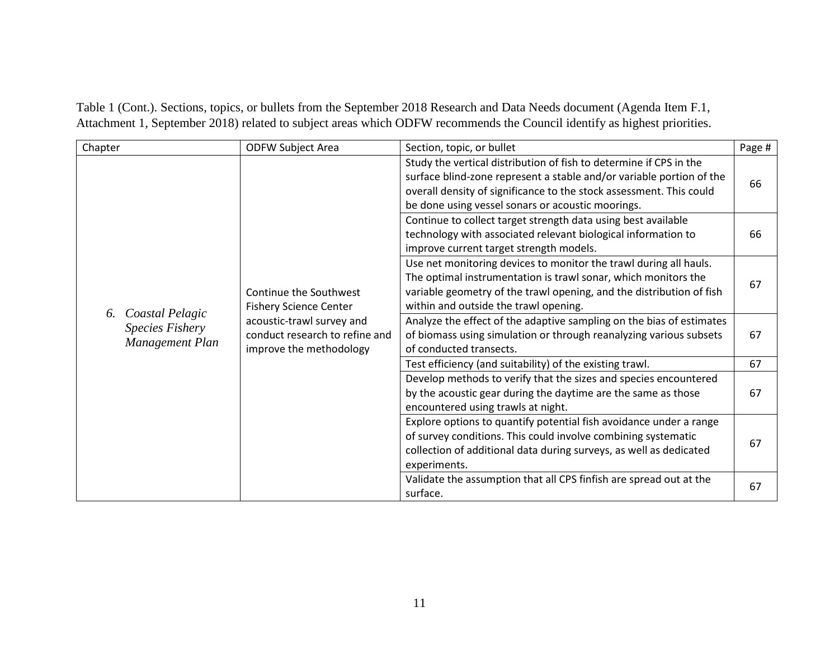| Chapter                                                            |                                                         | <b>ODFW Subject Area</b>                                                                                                                                                                                                                             | Section, topic, or bullet                                                                                                                                                                                                                                              | Page # |
|--------------------------------------------------------------------|---------------------------------------------------------|------------------------------------------------------------------------------------------------------------------------------------------------------------------------------------------------------------------------------------------------------|------------------------------------------------------------------------------------------------------------------------------------------------------------------------------------------------------------------------------------------------------------------------|--------|
| Coastal Pelagic<br>6.<br><b>Species Fishery</b><br>Management Plan |                                                         |                                                                                                                                                                                                                                                      | Study the vertical distribution of fish to determine if CPS in the<br>surface blind-zone represent a stable and/or variable portion of the<br>overall density of significance to the stock assessment. This could<br>be done using vessel sonars or acoustic moorings. | 66     |
|                                                                    |                                                         |                                                                                                                                                                                                                                                      | Continue to collect target strength data using best available<br>technology with associated relevant biological information to<br>improve current target strength models.                                                                                              | 66     |
|                                                                    | Continue the Southwest<br><b>Fishery Science Center</b> | Use net monitoring devices to monitor the trawl during all hauls.<br>The optimal instrumentation is trawl sonar, which monitors the<br>variable geometry of the trawl opening, and the distribution of fish<br>within and outside the trawl opening. | 67                                                                                                                                                                                                                                                                     |        |
|                                                                    |                                                         | acoustic-trawl survey and<br>conduct research to refine and<br>improve the methodology                                                                                                                                                               | Analyze the effect of the adaptive sampling on the bias of estimates<br>of biomass using simulation or through reanalyzing various subsets<br>of conducted transects.                                                                                                  | 67     |
|                                                                    |                                                         | Test efficiency (and suitability) of the existing trawl.                                                                                                                                                                                             | 67                                                                                                                                                                                                                                                                     |        |
|                                                                    |                                                         | Develop methods to verify that the sizes and species encountered<br>by the acoustic gear during the daytime are the same as those<br>encountered using trawls at night.                                                                              | 67                                                                                                                                                                                                                                                                     |        |
|                                                                    |                                                         |                                                                                                                                                                                                                                                      | Explore options to quantify potential fish avoidance under a range<br>of survey conditions. This could involve combining systematic<br>collection of additional data during surveys, as well as dedicated<br>experiments.                                              | 67     |
|                                                                    |                                                         |                                                                                                                                                                                                                                                      | Validate the assumption that all CPS finfish are spread out at the<br>surface.                                                                                                                                                                                         | 67     |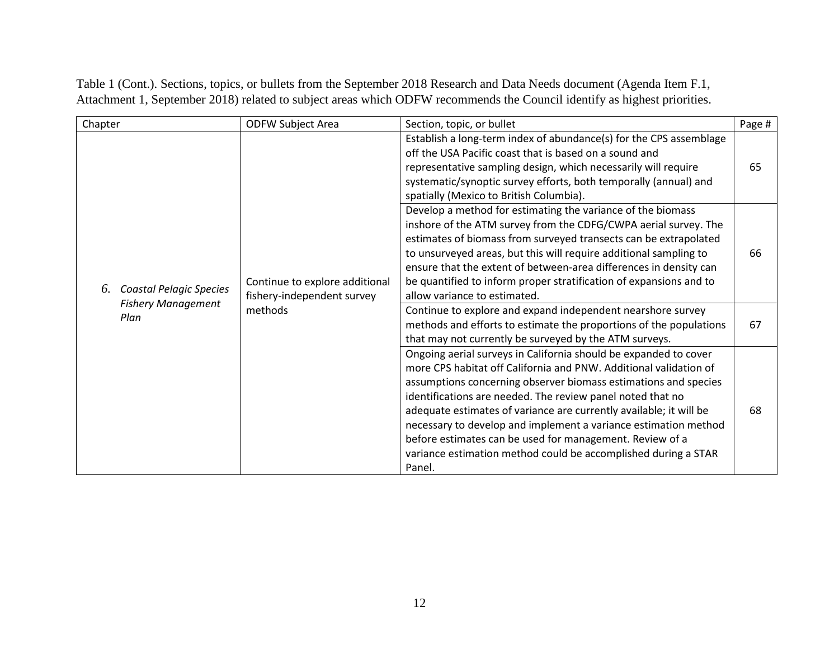| Chapter                                                           | <b>ODFW Subject Area</b>                                     | Section, topic, or bullet                                                                                                                                                                                                                                                                                                                                                                                                                                                                                                                               | Page # |
|-------------------------------------------------------------------|--------------------------------------------------------------|---------------------------------------------------------------------------------------------------------------------------------------------------------------------------------------------------------------------------------------------------------------------------------------------------------------------------------------------------------------------------------------------------------------------------------------------------------------------------------------------------------------------------------------------------------|--------|
|                                                                   |                                                              | Establish a long-term index of abundance(s) for the CPS assemblage<br>off the USA Pacific coast that is based on a sound and<br>representative sampling design, which necessarily will require<br>systematic/synoptic survey efforts, both temporally (annual) and<br>spatially (Mexico to British Columbia).                                                                                                                                                                                                                                           | 65     |
| <b>Coastal Pelagic Species</b><br>6.<br><b>Fishery Management</b> | Continue to explore additional<br>fishery-independent survey | Develop a method for estimating the variance of the biomass<br>inshore of the ATM survey from the CDFG/CWPA aerial survey. The<br>estimates of biomass from surveyed transects can be extrapolated<br>to unsurveyed areas, but this will require additional sampling to<br>ensure that the extent of between-area differences in density can<br>be quantified to inform proper stratification of expansions and to<br>allow variance to estimated.                                                                                                      | 66     |
| Plan                                                              | methods                                                      | Continue to explore and expand independent nearshore survey<br>methods and efforts to estimate the proportions of the populations<br>that may not currently be surveyed by the ATM surveys.                                                                                                                                                                                                                                                                                                                                                             | 67     |
|                                                                   |                                                              | Ongoing aerial surveys in California should be expanded to cover<br>more CPS habitat off California and PNW. Additional validation of<br>assumptions concerning observer biomass estimations and species<br>identifications are needed. The review panel noted that no<br>adequate estimates of variance are currently available; it will be<br>necessary to develop and implement a variance estimation method<br>before estimates can be used for management. Review of a<br>variance estimation method could be accomplished during a STAR<br>Panel. | 68     |